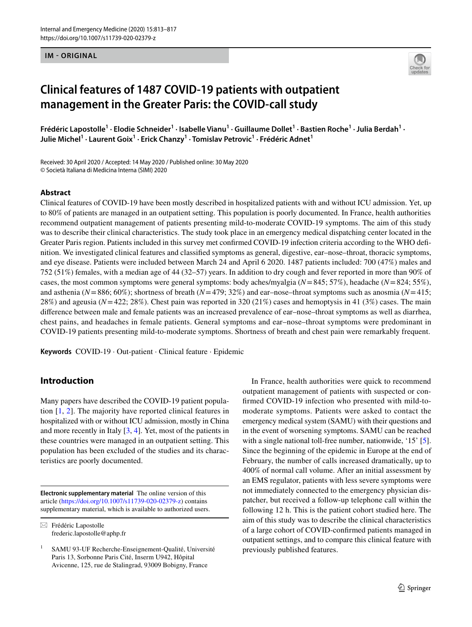#### **IM - ORIGINAL**



# **Clinical features of 1487 COVID‑19 patients with outpatient management in the Greater Paris: the COVID‑call study**

Frédéric Lapostolle<sup>1</sup> · Elodie Schneider<sup>1</sup> · Isabelle Vianu<sup>1</sup> · Guillaume Dollet<sup>1</sup> · Bastien Roche<sup>1</sup> · Julia Berdah<sup>1</sup> · **Julie Michel1 · Laurent Goix1 · Erick Chanzy1 · Tomislav Petrovic1 · Frédéric Adnet1**

Received: 30 April 2020 / Accepted: 14 May 2020 / Published online: 30 May 2020 © Società Italiana di Medicina Interna (SIMI) 2020

#### **Abstract**

Clinical features of COVID-19 have been mostly described in hospitalized patients with and without ICU admission. Yet, up to 80% of patients are managed in an outpatient setting. This population is poorly documented. In France, health authorities recommend outpatient management of patients presenting mild-to-moderate COVID-19 symptoms. The aim of this study was to describe their clinical characteristics. The study took place in an emergency medical dispatching center located in the Greater Paris region. Patients included in this survey met confrmed COVID-19 infection criteria according to the WHO defnition. We investigated clinical features and classifed symptoms as general, digestive, ear–nose–throat, thoracic symptoms, and eye disease. Patients were included between March 24 and April 6 2020. 1487 patients included: 700 (47%) males and 752 (51%) females, with a median age of 44 (32–57) years. In addition to dry cough and fever reported in more than 90% of cases, the most common symptoms were general symptoms: body aches/myalgia (*N*=845; 57%), headache (*N*=824; 55%), and asthenia ( $N=886$ ; 60%); shortness of breath ( $N=479$ ; 32%) and ear–nose–throat symptoms such as anosmia ( $N=415$ ; 28%) and ageusia (*N*=422; 28%). Chest pain was reported in 320 (21%) cases and hemoptysis in 41 (3%) cases. The main diference between male and female patients was an increased prevalence of ear–nose–throat symptoms as well as diarrhea, chest pains, and headaches in female patients. General symptoms and ear–nose–throat symptoms were predominant in COVID-19 patients presenting mild-to-moderate symptoms. Shortness of breath and chest pain were remarkably frequent.

**Keywords** COVID-19 · Out-patient · Clinical feature · Epidemic

# **Introduction**

Many papers have described the COVID-19 patient population [\[1](#page-3-0), [2\]](#page-3-1). The majority have reported clinical features in hospitalized with or without ICU admission, mostly in China and more recently in Italy  $[3, 4]$  $[3, 4]$  $[3, 4]$  $[3, 4]$ . Yet, most of the patients in these countries were managed in an outpatient setting. This population has been excluded of the studies and its characteristics are poorly documented.

**Electronic supplementary material** The online version of this article [\(https://doi.org/10.1007/s11739-020-02379-z](https://doi.org/10.1007/s11739-020-02379-z)) contains supplementary material, which is available to authorized users.

 $\boxtimes$  Frédéric Lapostolle frederic.lapostolle@aphp.fr

In France, health authorities were quick to recommend outpatient management of patients with suspected or confrmed COVID-19 infection who presented with mild-tomoderate symptoms. Patients were asked to contact the emergency medical system (SAMU) with their questions and in the event of worsening symptoms. SAMU can be reached with a single national toll-free number, nationwide, '15' [\[5](#page-3-4)]. Since the beginning of the epidemic in Europe at the end of February, the number of calls increased dramatically, up to 400% of normal call volume. After an initial assessment by an EMS regulator, patients with less severe symptoms were not immediately connected to the emergency physician dispatcher, but received a follow-up telephone call within the following 12 h. This is the patient cohort studied here. The aim of this study was to describe the clinical characteristics of a large cohort of COVID-confrmed patients managed in outpatient settings, and to compare this clinical feature with previously published features.

<sup>1</sup> SAMU 93-UF Recherche-Enseignement-Qualité, Université Paris 13, Sorbonne Paris Cité, Inserm U942, Hôpital Avicenne, 125, rue de Stalingrad, 93009 Bobigny, France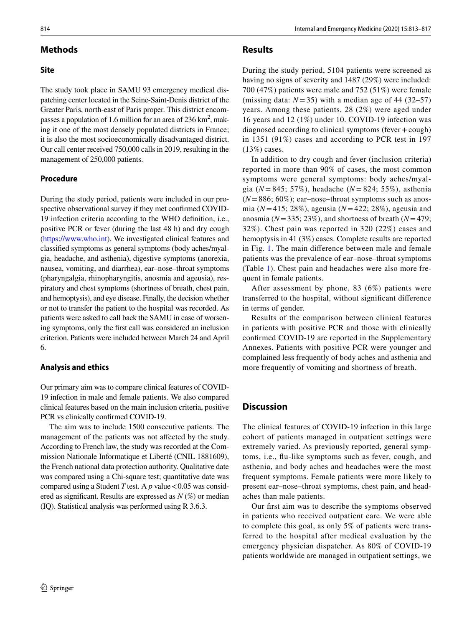## **Methods**

### **Site**

The study took place in SAMU 93 emergency medical dispatching center located in the Seine-Saint-Denis district of the Greater Paris, north-east of Paris proper. This district encompasses a population of 1.6 million for an area of 236  $\text{km}^2$ , making it one of the most densely populated districts in France; it is also the most socioeconomically disadvantaged district. Our call center received 750,000 calls in 2019, resulting in the management of 250,000 patients.

### **Procedure**

During the study period, patients were included in our prospective observational survey if they met confrmed COVID-19 infection criteria according to the WHO defnition, i.e., positive PCR or fever (during the last 48 h) and dry cough [\(https://www.who.int](https://www.who.int)). We investigated clinical features and classifed symptoms as general symptoms (body aches/myalgia, headache, and asthenia), digestive symptoms (anorexia, nausea, vomiting, and diarrhea), ear–nose–throat symptoms (pharyngalgia, rhinopharyngitis, anosmia and ageusia), respiratory and chest symptoms (shortness of breath, chest pain, and hemoptysis), and eye disease. Finally, the decision whether or not to transfer the patient to the hospital was recorded. As patients were asked to call back the SAMU in case of worsening symptoms, only the frst call was considered an inclusion criterion. Patients were included between March 24 and April 6.

#### **Analysis and ethics**

Our primary aim was to compare clinical features of COVID-19 infection in male and female patients. We also compared clinical features based on the main inclusion criteria, positive PCR vs clinically confrmed COVID-19.

The aim was to include 1500 consecutive patients. The management of the patients was not afected by the study. According to French law, the study was recorded at the Commission Nationale Informatique et Liberté (CNIL 1881609), the French national data protection authority. Qualitative date was compared using a Chi-square test; quantitative date was compared using a Student *T* test. A  $p$  value < 0.05 was considered as signifcant. Results are expressed as *N* (%) or median (IQ). Statistical analysis was performed using R 3.6.3.

## **Results**

During the study period, 5104 patients were screened as having no signs of severity and 1487 (29%) were included: 700 (47%) patients were male and 752 (51%) were female (missing data:  $N = 35$ ) with a median age of 44 (32–57) years. Among these patients, 28 (2%) were aged under 16 years and 12 (1%) under 10. COVID-19 infection was diagnosed according to clinical symptoms (fever  $+\text{cough}$ ) in 1351 (91%) cases and according to PCR test in 197 (13%) cases.

In addition to dry cough and fever (inclusion criteria) reported in more than 90% of cases, the most common symptoms were general symptoms: body aches/myalgia (*N* = 845; 57%), headache (*N* = 824; 55%), asthenia  $(N=886; 60\%)$ ; ear–nose–throat symptoms such as anosmia (*N*=415; 28%), ageusia (*N*=422; 28%), ageusia and anosmia (*N*=335; 23%), and shortness of breath (*N*=479; 32%). Chest pain was reported in 320 (22%) cases and hemoptysis in 41 (3%) cases. Complete results are reported in Fig. [1](#page-2-0). The main diference between male and female patients was the prevalence of ear–nose–throat symptoms (Table [1](#page-3-5)). Chest pain and headaches were also more frequent in female patients.

After assessment by phone, 83 (6%) patients were transferred to the hospital, without signifcant diference in terms of gender.

Results of the comparison between clinical features in patients with positive PCR and those with clinically confrmed COVID-19 are reported in the Supplementary Annexes. Patients with positive PCR were younger and complained less frequently of body aches and asthenia and more frequently of vomiting and shortness of breath.

# **Discussion**

The clinical features of COVID-19 infection in this large cohort of patients managed in outpatient settings were extremely varied. As previously reported, general symptoms, i.e., fu-like symptoms such as fever, cough, and asthenia, and body aches and headaches were the most frequent symptoms. Female patients were more likely to present ear–nose–throat symptoms, chest pain, and headaches than male patients.

Our frst aim was to describe the symptoms observed in patients who received outpatient care. We were able to complete this goal, as only 5% of patients were transferred to the hospital after medical evaluation by the emergency physician dispatcher. As 80% of COVID-19 patients worldwide are managed in outpatient settings, we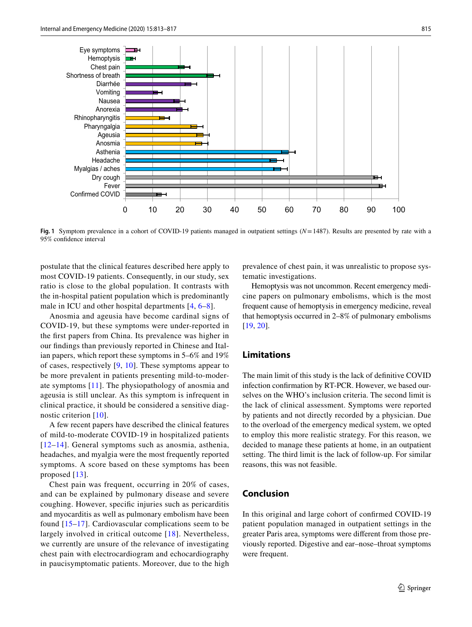

<span id="page-2-0"></span>**Fig. 1** Symptom prevalence in a cohort of COVID-19 patients managed in outpatient settings (*N*=1487). Results are presented by rate with a 95% confdence interval

postulate that the clinical features described here apply to most COVID-19 patients. Consequently, in our study, sex ratio is close to the global population. It contrasts with the in-hospital patient population which is predominantly male in ICU and other hospital departments [[4,](#page-3-3) [6](#page-3-6)[–8\]](#page-3-7).

Anosmia and ageusia have become cardinal signs of COVID-19, but these symptoms were under-reported in the frst papers from China. Its prevalence was higher in our fndings than previously reported in Chinese and Italian papers, which report these symptoms in 5–6% and 19% of cases, respectively [[9](#page-3-8), [10](#page-3-9)]. These symptoms appear to be more prevalent in patients presenting mild-to-moderate symptoms [[11](#page-3-10)]. The physiopathology of anosmia and ageusia is still unclear. As this symptom is infrequent in clinical practice, it should be considered a sensitive diagnostic criterion [[10\]](#page-3-9).

A few recent papers have described the clinical features of mild-to-moderate COVID-19 in hospitalized patients [[12](#page-3-11)–[14](#page-3-12)]. General symptoms such as anosmia, asthenia, headaches, and myalgia were the most frequently reported symptoms. A score based on these symptoms has been proposed [\[13\]](#page-3-13).

Chest pain was frequent, occurring in 20% of cases, and can be explained by pulmonary disease and severe coughing. However, specifc injuries such as pericarditis and myocarditis as well as pulmonary embolism have been found [[15–](#page-3-14)[17](#page-4-0)]. Cardiovascular complications seem to be largely involved in critical outcome [\[18](#page-4-1)]. Nevertheless, we currently are unsure of the relevance of investigating chest pain with electrocardiogram and echocardiography in paucisymptomatic patients. Moreover, due to the high

prevalence of chest pain, it was unrealistic to propose systematic investigations.

Hemoptysis was not uncommon. Recent emergency medicine papers on pulmonary embolisms, which is the most frequent cause of hemoptysis in emergency medicine, reveal that hemoptysis occurred in 2–8% of pulmonary embolisms [[19,](#page-4-2) [20\]](#page-4-3).

# **Limitations**

The main limit of this study is the lack of defnitive COVID infection confrmation by RT-PCR. However, we based ourselves on the WHO's inclusion criteria. The second limit is the lack of clinical assessment. Symptoms were reported by patients and not directly recorded by a physician. Due to the overload of the emergency medical system, we opted to employ this more realistic strategy. For this reason, we decided to manage these patients at home, in an outpatient setting. The third limit is the lack of follow-up. For similar reasons, this was not feasible.

## **Conclusion**

In this original and large cohort of confrmed COVID-19 patient population managed in outpatient settings in the greater Paris area, symptoms were diferent from those previously reported. Digestive and ear–nose–throat symptoms were frequent.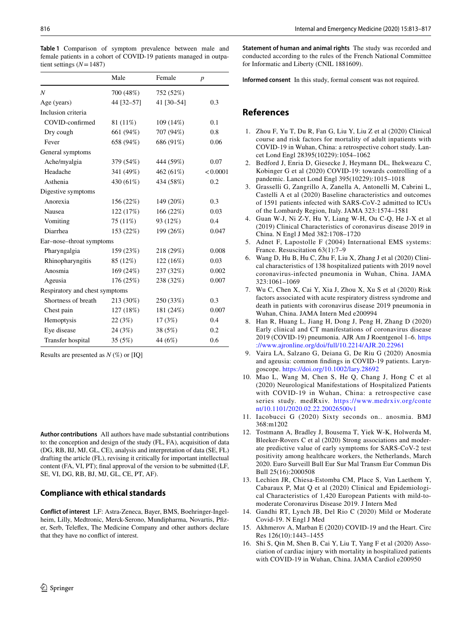|                                | Male       | Female     | $\boldsymbol{p}$ |
|--------------------------------|------------|------------|------------------|
| N                              | 700 (48%)  | 752 (52%)  |                  |
| Age (years)                    | 44 [32-57] | 41 [30-54] | 0.3              |
| Inclusion criteria             |            |            |                  |
| COVID-confirmed                | 81 (11%)   | 109 (14%)  | 0.1              |
| Dry cough                      | 661 (94%)  | 707 (94%)  | 0.8              |
| Fever                          | 658 (94%)  | 686 (91%)  | 0.06             |
| General symptoms               |            |            |                  |
| Ache/myalgia                   | 379 (54%)  | 444 (59%)  | 0.07             |
| Headache                       | 341 (49%)  | 462 (61%)  | < 0.0001         |
| Asthenia                       | 430 (61%)  | 434 (58%)  | 0.2              |
| Digestive symptoms             |            |            |                  |
| Anorexia                       | 156 (22%)  | 149 (20%)  | 0.3              |
| <b>Nausea</b>                  | 122 (17%)  | 166 (22%)  | 0.03             |
| Vomiting                       | 75 (11%)   | 93 (12%)   | 0.4              |
| Diarrhea                       | 153 (22%)  | 199 (26%)  | 0.047            |
| Ear-nose-throat symptoms       |            |            |                  |
| Pharyngalgia                   | 159 (23%)  | 218 (29%)  | 0.008            |
| Rhinopharyngitis               | 85 (12%)   | 122 (16%)  | 0.03             |
| Anosmia                        | 169 (24%)  | 237 (32%)  | 0.002            |
| Ageusia                        | 176 (25%)  | 238 (32%)  | 0.007            |
| Respiratory and chest symptoms |            |            |                  |
| Shortness of breath            | 213 (30%)  | 250 (33%)  | 0.3              |
| Chest pain                     | 127 (18%)  | 181 (24%)  | 0.007            |
| Hemoptysis                     | 22(3%)     | 17(3%)     | 0.4              |
| Eye disease                    | 24 (3%)    | 38 (5%)    | 0.2              |
| Transfer hospital              | 35(5%)     | 44 (6%)    | 0.6              |

<span id="page-3-5"></span>**Table 1** Comparison of symptom prevalence between male and female patients in a cohort of COVID-19 patients managed in outpatient settings (*N*=1487)

Results are presented as *N* (%) or [IQ]

**Author contributions** All authors have made substantial contributions to: the conception and design of the study (FL, FA), acquisition of data (DG, RB, BJ, MJ, GL, CE), analysis and interpretation of data (SE, FL) drafting the article (FL), revising it critically for important intellectual content (FA, VI, PT); fnal approval of the version to be submitted (LF, SE, VI, DG, RB, BJ, MJ, GL, CE, PT, AF).

## **Compliance with ethical standards**

**Conflict of interest** LF: Astra-Zeneca, Bayer, BMS, Boehringer-Ingelheim, Lilly, Medtronic, Merck-Serono, Mundipharma, Novartis, Pfzer, Serb, Telefex, The Medicine Company and other authors declare that they have no confict of interest.

**Statement of human and animal rights** The study was recorded and conducted according to the rules of the French National Committee for Informatic and Liberty (CNIL 1881609).

**Informed consent** In this study, formal consent was not required.

# **References**

- <span id="page-3-0"></span>1. Zhou F, Yu T, Du R, Fan G, Liu Y, Liu Z et al (2020) Clinical course and risk factors for mortality of adult inpatients with COVID-19 in Wuhan, China: a retrospective cohort study. Lancet Lond Engl 28395(10229):1054–1062
- <span id="page-3-1"></span>2. Bedford J, Enria D, Giesecke J, Heymann DL, Ihekweazu C, Kobinger G et al (2020) COVID-19: towards controlling of a pandemic. Lancet Lond Engl 395(10229):1015–1018
- <span id="page-3-2"></span>3. Grasselli G, Zangrillo A, Zanella A, Antonelli M, Cabrini L, Castelli A et al (2020) Baseline characteristics and outcomes of 1591 patients infected with SARS-CoV-2 admitted to ICUs of the Lombardy Region, Italy. JAMA 323:1574–1581
- <span id="page-3-3"></span>4. Guan W-J, Ni Z-Y, Hu Y, Liang W-H, Ou C-Q, He J-X et al (2019) Clinical Characteristics of coronavirus disease 2019 in China. N Engl J Med 382:1708–1720
- <span id="page-3-4"></span>5. Adnet F, Lapostolle F (2004) International EMS systems: France. Resuscitation 63(1):7–9
- <span id="page-3-6"></span>6. Wang D, Hu B, Hu C, Zhu F, Liu X, Zhang J et al (2020) Clinical characteristics of 138 hospitalized patients with 2019 novel coronavirus-infected pneumonia in Wuhan, China. JAMA 323:1061–1069
- 7. Wu C, Chen X, Cai Y, Xia J, Zhou X, Xu S et al (2020) Risk factors associated with acute respiratory distress syndrome and death in patients with coronavirus disease 2019 pneumonia in Wuhan, China. JAMA Intern Med e200994
- <span id="page-3-7"></span>8. Han R, Huang L, Jiang H, Dong J, Peng H, Zhang D (2020) Early clinical and CT manifestations of coronavirus disease 2019 (COVID-19) pneumonia. AJR Am J Roentgenol 1–6. [https](https://www.ajronline.org/doi/full/10.2214/AJR.20.22961) [://www.ajronline.org/doi/full/10.2214/AJR.20.22961](https://www.ajronline.org/doi/full/10.2214/AJR.20.22961)
- <span id="page-3-8"></span>9. Vaira LA, Salzano G, Deiana G, De Riu G (2020) Anosmia and ageusia: common fndings in COVID-19 patients. Laryngoscope. <https://doi.org/10.1002/lary.28692>
- <span id="page-3-9"></span>10. Mao L, Wang M, Chen S, He Q, Chang J, Hong C et al (2020) Neurological Manifestations of Hospitalized Patients with COVID-19 in Wuhan, China: a retrospective case series study. medRxiv. [https://www.medrxiv.org/conte](https://www.medrxiv.org/content/10.1101/2020.02.22.20026500v1) [nt/10.1101/2020.02.22.20026500v1](https://www.medrxiv.org/content/10.1101/2020.02.22.20026500v1)
- <span id="page-3-10"></span>11. Iacobucci G (2020) Sixty seconds on.. anosmia. BMJ 368:m1202
- <span id="page-3-11"></span>12. Tostmann A, Bradley J, Bousema T, Yiek W-K, Holwerda M, Bleeker-Rovers C et al (2020) Strong associations and moderate predictive value of early symptoms for SARS-CoV-2 test positivity among healthcare workers, the Netherlands, March 2020. Euro Surveill Bull Eur Sur Mal Transm Eur Commun Dis Bull 25(16):2000508
- <span id="page-3-13"></span>13. Lechien JR, Chiesa-Estomba CM, Place S, Van Laethem Y, Cabaraux P, Mat Q et al (2020) Clinical and Epidemiological Characteristics of 1,420 European Patients with mild-tomoderate Coronavirus Disease 2019. J Intern Med
- <span id="page-3-12"></span>14. Gandhi RT, Lynch JB, Del Rio C (2020) Mild or Moderate Covid-19. N Engl J Med
- <span id="page-3-14"></span>15. Akhmerov A, Marban E (2020) COVID-19 and the Heart. Circ Res 126(10):1443–1455
- 16. Shi S, Qin M, Shen B, Cai Y, Liu T, Yang F et al (2020) Association of cardiac injury with mortality in hospitalized patients with COVID-19 in Wuhan, China. JAMA Cardiol e200950